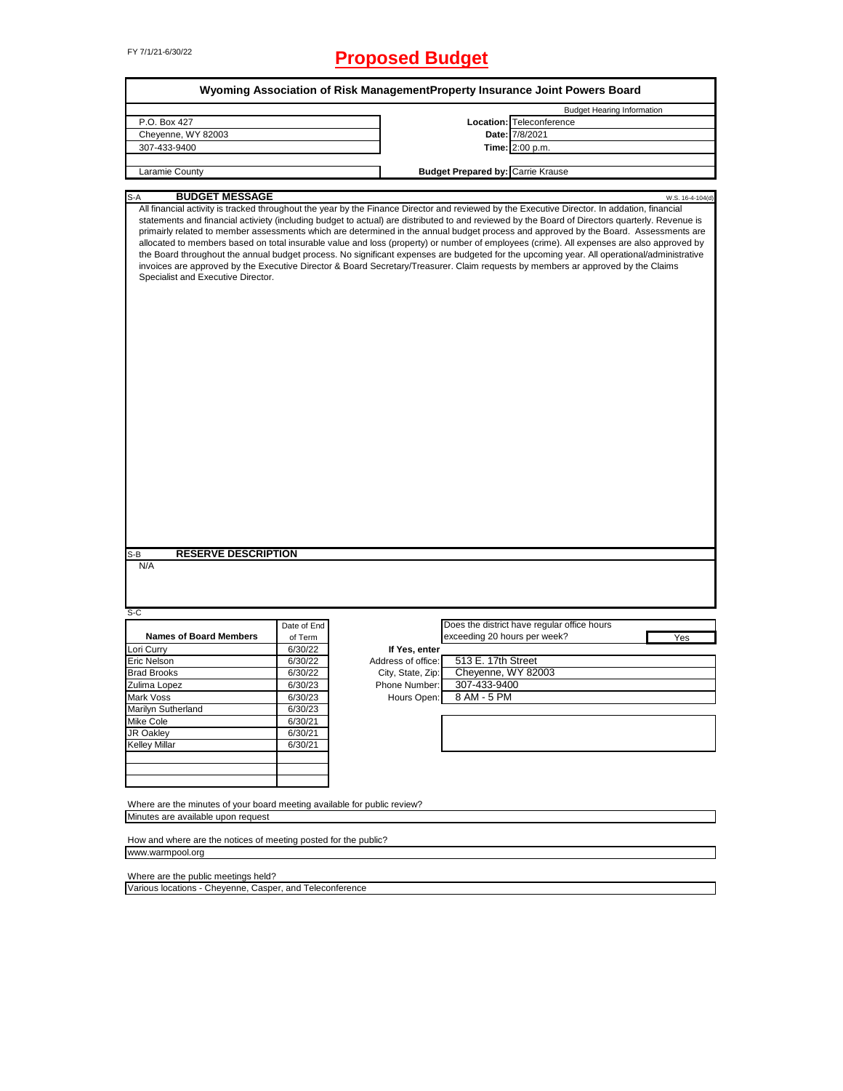# FY 7/1/21-6/30/22 **Proposed Budget**

|                                                                                                                                                                           |                    |                                    | <b>Budget Hearing Information</b>                                                                                                                                                                                                                                                                                                                                                                                                                                                                                                                                                                                                                                                                                      |
|---------------------------------------------------------------------------------------------------------------------------------------------------------------------------|--------------------|------------------------------------|------------------------------------------------------------------------------------------------------------------------------------------------------------------------------------------------------------------------------------------------------------------------------------------------------------------------------------------------------------------------------------------------------------------------------------------------------------------------------------------------------------------------------------------------------------------------------------------------------------------------------------------------------------------------------------------------------------------------|
| P.O. Box 427                                                                                                                                                              |                    |                                    | Location: Teleconference                                                                                                                                                                                                                                                                                                                                                                                                                                                                                                                                                                                                                                                                                               |
| Cheyenne, WY 82003                                                                                                                                                        |                    |                                    | Date: 7/8/2021                                                                                                                                                                                                                                                                                                                                                                                                                                                                                                                                                                                                                                                                                                         |
| 307-433-9400                                                                                                                                                              |                    |                                    | Time: 2:00 p.m.                                                                                                                                                                                                                                                                                                                                                                                                                                                                                                                                                                                                                                                                                                        |
|                                                                                                                                                                           |                    |                                    |                                                                                                                                                                                                                                                                                                                                                                                                                                                                                                                                                                                                                                                                                                                        |
| Laramie County                                                                                                                                                            |                    |                                    | <b>Budget Prepared by: Carrie Krause</b>                                                                                                                                                                                                                                                                                                                                                                                                                                                                                                                                                                                                                                                                               |
| <b>BUDGET MESSAGE</b><br>S-A                                                                                                                                              |                    |                                    | W.S. 16-4-104(d)                                                                                                                                                                                                                                                                                                                                                                                                                                                                                                                                                                                                                                                                                                       |
| Specialist and Executive Director.                                                                                                                                        |                    |                                    | statements and financial activiety (including budget to actual) are distributed to and reviewed by the Board of Directors quarterly. Revenue is<br>primairly related to member assessments which are determined in the annual budget process and approved by the Board. Assessments are<br>allocated to members based on total insurable value and loss (property) or number of employees (crime). All expenses are also approved by<br>the Board throughout the annual budget process. No significant expenses are budgeted for the upcoming year. All operational/administrative<br>invoices are approved by the Executive Director & Board Secretary/Treasurer. Claim requests by members ar approved by the Claims |
| <b>RESERVE DESCRIPTION</b>                                                                                                                                                |                    |                                    |                                                                                                                                                                                                                                                                                                                                                                                                                                                                                                                                                                                                                                                                                                                        |
| N/A                                                                                                                                                                       |                    |                                    |                                                                                                                                                                                                                                                                                                                                                                                                                                                                                                                                                                                                                                                                                                                        |
|                                                                                                                                                                           |                    |                                    |                                                                                                                                                                                                                                                                                                                                                                                                                                                                                                                                                                                                                                                                                                                        |
|                                                                                                                                                                           |                    |                                    |                                                                                                                                                                                                                                                                                                                                                                                                                                                                                                                                                                                                                                                                                                                        |
|                                                                                                                                                                           |                    |                                    |                                                                                                                                                                                                                                                                                                                                                                                                                                                                                                                                                                                                                                                                                                                        |
|                                                                                                                                                                           |                    |                                    | Does the district have regular office hours                                                                                                                                                                                                                                                                                                                                                                                                                                                                                                                                                                                                                                                                            |
| <b>Names of Board Members</b>                                                                                                                                             | Date of End        |                                    | exceeding 20 hours per week?                                                                                                                                                                                                                                                                                                                                                                                                                                                                                                                                                                                                                                                                                           |
|                                                                                                                                                                           | of Term            |                                    | Yes                                                                                                                                                                                                                                                                                                                                                                                                                                                                                                                                                                                                                                                                                                                    |
|                                                                                                                                                                           | 6/30/22            | If Yes, enter                      |                                                                                                                                                                                                                                                                                                                                                                                                                                                                                                                                                                                                                                                                                                                        |
|                                                                                                                                                                           | 6/30/22            | Address of office:                 | 513 E. 17th Street                                                                                                                                                                                                                                                                                                                                                                                                                                                                                                                                                                                                                                                                                                     |
|                                                                                                                                                                           | 6/30/22            | City, State, Zip:<br>Phone Number: | Cheyenne, WY 82003                                                                                                                                                                                                                                                                                                                                                                                                                                                                                                                                                                                                                                                                                                     |
|                                                                                                                                                                           | 6/30/23            |                                    | 307-433-9400                                                                                                                                                                                                                                                                                                                                                                                                                                                                                                                                                                                                                                                                                                           |
|                                                                                                                                                                           | 6/30/23            | Hours Open:                        | 8 AM - 5 PM                                                                                                                                                                                                                                                                                                                                                                                                                                                                                                                                                                                                                                                                                                            |
|                                                                                                                                                                           | 6/30/23            |                                    |                                                                                                                                                                                                                                                                                                                                                                                                                                                                                                                                                                                                                                                                                                                        |
|                                                                                                                                                                           | 6/30/21            |                                    |                                                                                                                                                                                                                                                                                                                                                                                                                                                                                                                                                                                                                                                                                                                        |
|                                                                                                                                                                           | 6/30/21<br>6/30/21 |                                    |                                                                                                                                                                                                                                                                                                                                                                                                                                                                                                                                                                                                                                                                                                                        |
|                                                                                                                                                                           |                    |                                    |                                                                                                                                                                                                                                                                                                                                                                                                                                                                                                                                                                                                                                                                                                                        |
| S-B<br>S-C<br>Lori Curry<br>Eric Nelson<br><b>Brad Brooks</b><br>Zulima Lopez<br>Mark Voss<br>Marilyn Sutherland<br>Mike Cole<br><b>JR Oakley</b><br><b>Kelley Millar</b> |                    |                                    |                                                                                                                                                                                                                                                                                                                                                                                                                                                                                                                                                                                                                                                                                                                        |
|                                                                                                                                                                           |                    |                                    |                                                                                                                                                                                                                                                                                                                                                                                                                                                                                                                                                                                                                                                                                                                        |
|                                                                                                                                                                           |                    |                                    |                                                                                                                                                                                                                                                                                                                                                                                                                                                                                                                                                                                                                                                                                                                        |
| Where are the minutes of your board meeting available for public review?                                                                                                  |                    |                                    |                                                                                                                                                                                                                                                                                                                                                                                                                                                                                                                                                                                                                                                                                                                        |
| Minutes are available upon request                                                                                                                                        |                    |                                    |                                                                                                                                                                                                                                                                                                                                                                                                                                                                                                                                                                                                                                                                                                                        |
|                                                                                                                                                                           |                    |                                    |                                                                                                                                                                                                                                                                                                                                                                                                                                                                                                                                                                                                                                                                                                                        |
| How and where are the notices of meeting posted for the public?                                                                                                           |                    |                                    |                                                                                                                                                                                                                                                                                                                                                                                                                                                                                                                                                                                                                                                                                                                        |

Where are the public meetings held?

Various locations - Cheyenne, Casper, and Teleconference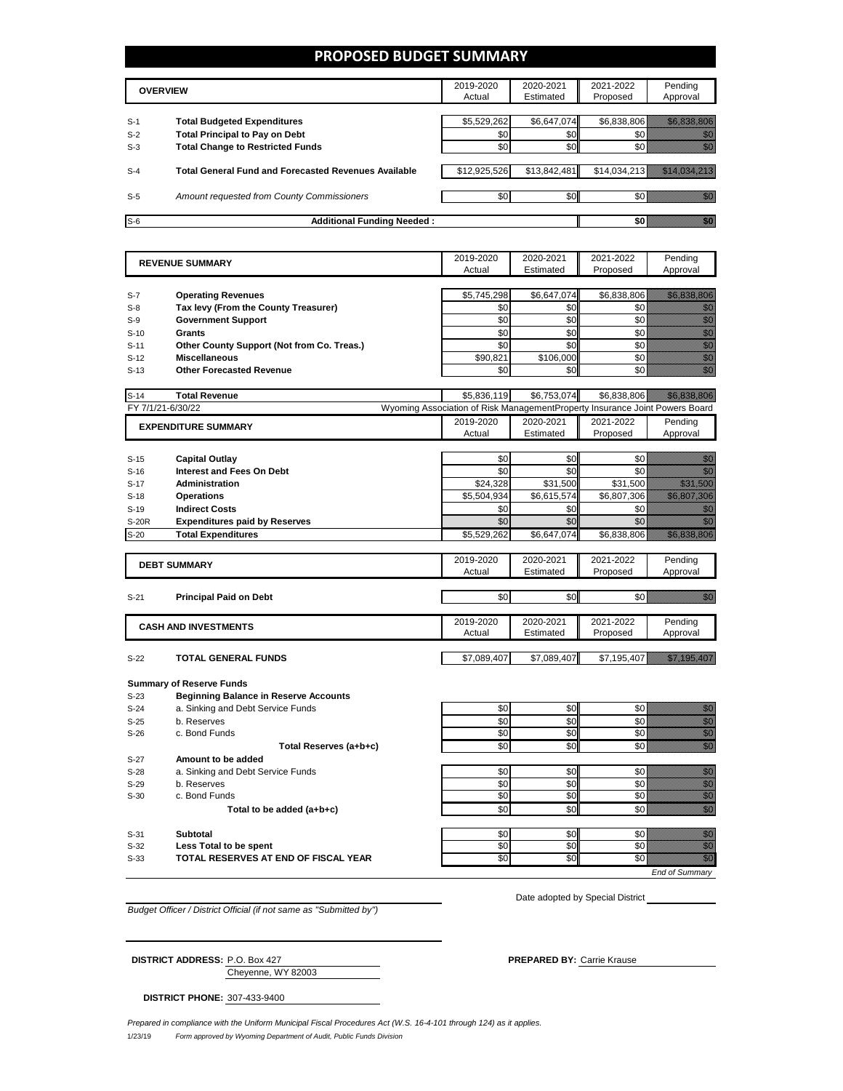#### **PROPOSED BUDGET SUMMARY**

| <b>OVERVIEW</b> |                                                             | 2019-2020<br>Actual | 2020-2021<br>Estimated | 2021-2022<br>Proposed | Pending<br>Approval |
|-----------------|-------------------------------------------------------------|---------------------|------------------------|-----------------------|---------------------|
|                 |                                                             |                     |                        |                       |                     |
| $S-1$           | <b>Total Budgeted Expenditures</b>                          | \$5,529,262         | \$6,647,074            | \$6,838,806           |                     |
| $S-2$           | <b>Total Principal to Pay on Debt</b>                       | \$0                 | \$0                    |                       |                     |
| $S-3$           | <b>Total Change to Restricted Funds</b>                     | \$0                 | \$0                    |                       |                     |
|                 |                                                             |                     |                        |                       |                     |
| $S-4$           | <b>Total General Fund and Forecasted Revenues Available</b> | \$12,925,526        | \$13,842,481           | \$14,034,213          |                     |
|                 |                                                             |                     |                        |                       |                     |
| $S-5$           | Amount requested from County Commissioners                  | \$0                 | \$0                    |                       |                     |
|                 |                                                             |                     |                        |                       |                     |
| $S-6$           | <b>Additional Funding Needed:</b>                           |                     |                        | \$0                   |                     |

| <b>REVENUE SUMMARY</b> |                                                                       | 2019-2020                                                                   | 2020-2021               | 2021-2022               | Pending                                                                                                                                                                                                                                                        |
|------------------------|-----------------------------------------------------------------------|-----------------------------------------------------------------------------|-------------------------|-------------------------|----------------------------------------------------------------------------------------------------------------------------------------------------------------------------------------------------------------------------------------------------------------|
|                        |                                                                       | Actual                                                                      | Estimated               | Proposed                | Approval                                                                                                                                                                                                                                                       |
|                        |                                                                       |                                                                             |                         |                         |                                                                                                                                                                                                                                                                |
| $S-7$                  | <b>Operating Revenues</b>                                             | \$5,745,298                                                                 | \$6,647,074             | \$6,838,806             | <u> Kabupatèn Ba</u>                                                                                                                                                                                                                                           |
| $S-8$                  | Tax levy (From the County Treasurer)                                  | \$0                                                                         | \$0                     | \$0                     | en de la familie de la familie de la familie de la familie de la familie de la familie de la familie de la fam<br>Concello de la familie de la familie de la familie de la familie de la familie de la familie de la familie de                                |
| $S-9$                  | <b>Government Support</b>                                             | \$0                                                                         | \$0                     | \$0                     | en de la filo<br>Altres de la filo                                                                                                                                                                                                                             |
| $S-10$                 | <b>Grants</b>                                                         | \$0                                                                         | \$0                     | \$0                     |                                                                                                                                                                                                                                                                |
| $S-11$                 | Other County Support (Not from Co. Treas.)                            | \$0                                                                         | \$0                     | \$0                     |                                                                                                                                                                                                                                                                |
| $S-12$                 | <b>Miscellaneous</b>                                                  | \$90,821                                                                    | \$106,000               | \$0                     | e de la construcción de la construcción de la construcción de la construcción de la construcción de la construcción<br>Altre de la construcción de la construcción de la construcción de la construcción de la construcción de la                              |
| $S-13$                 | <b>Other Forecasted Revenue</b>                                       | \$0                                                                         | \$0                     | \$0                     | en de la familie de la familie de la familie de la familie de la familie de la familie de la familie de la fam<br>Constituit de la familie de la familie de la familie de la familie de la familie de la familie de la familie d                               |
|                        |                                                                       |                                                                             |                         |                         |                                                                                                                                                                                                                                                                |
| $S-14$                 | <b>Total Revenue</b>                                                  | \$5,836,119                                                                 | \$6,753,074             | \$6,838,806             |                                                                                                                                                                                                                                                                |
| FY 7/1/21-6/30/22      |                                                                       | Wyoming Association of Risk ManagementProperty Insurance Joint Powers Board |                         |                         |                                                                                                                                                                                                                                                                |
|                        | <b>EXPENDITURE SUMMARY</b>                                            | 2019-2020                                                                   | 2020-2021               | 2021-2022               | Pending                                                                                                                                                                                                                                                        |
|                        |                                                                       | Actual                                                                      | Estimated               | Proposed                | Approval                                                                                                                                                                                                                                                       |
|                        |                                                                       |                                                                             | \$0                     | \$0                     |                                                                                                                                                                                                                                                                |
| $S-15$                 | <b>Capital Outlay</b><br><b>Interest and Fees On Debt</b>             | \$0<br>\$0                                                                  | \$0                     | \$0                     | en de la familie de la familie de la familie de la familie de la familie de la familie de la familie de la fam<br>Concello de la familie de la familie de la familie de la familie de la familie de la familie de la familie de<br>en de la filosofia<br>Maria |
| $S-16$                 |                                                                       |                                                                             |                         |                         | <u> Karlin Sara</u>                                                                                                                                                                                                                                            |
| $S-17$<br>$S-18$       | <b>Administration</b><br><b>Operations</b>                            | \$24,328<br>\$5,504,934                                                     | \$31,500<br>\$6,615,574 | \$31,500<br>\$6,807,306 |                                                                                                                                                                                                                                                                |
| $S-19$                 | <b>Indirect Costs</b>                                                 | \$0                                                                         | \$0                     | \$0                     | na ann an                                                                                                                                                                                                                                                      |
| <b>S-20R</b>           | <b>Expenditures paid by Reserves</b>                                  | \$0                                                                         | \$0                     | \$0                     | en de la familie de la familie de la familie de la familie de la familie de la familie de la familie de la fa<br>Concello de la familie de la familie de la familie de la familie de la familie de la familie de la familie de                                 |
| $S-20$                 | <b>Total Expenditures</b>                                             | \$5,529,262                                                                 | \$6,647,074             | \$6,838,806             | <u> Kilikilahan S</u>                                                                                                                                                                                                                                          |
|                        |                                                                       |                                                                             |                         |                         |                                                                                                                                                                                                                                                                |
|                        |                                                                       | 2019-2020                                                                   | 2020-2021               | 2021-2022               | Pending                                                                                                                                                                                                                                                        |
|                        | <b>DEBT SUMMARY</b>                                                   | Actual                                                                      | Estimated               | Proposed                | Approval                                                                                                                                                                                                                                                       |
|                        |                                                                       |                                                                             |                         |                         |                                                                                                                                                                                                                                                                |
| $S-21$                 | <b>Principal Paid on Debt</b>                                         | \$0                                                                         | \$0                     | \$0                     | elli ku                                                                                                                                                                                                                                                        |
|                        |                                                                       |                                                                             |                         |                         |                                                                                                                                                                                                                                                                |
|                        | <b>CASH AND INVESTMENTS</b>                                           | 2019-2020                                                                   | 2020-2021               | 2021-2022               | Pending                                                                                                                                                                                                                                                        |
|                        |                                                                       | Actual                                                                      | Estimated               | Proposed                | Approval                                                                                                                                                                                                                                                       |
|                        |                                                                       |                                                                             |                         |                         |                                                                                                                                                                                                                                                                |
| $S-22$                 | <b>TOTAL GENERAL FUNDS</b>                                            | \$7,089,407                                                                 | \$7,089,407             | \$7,195,407             | <u> Kalifornia (k. 1989)</u>                                                                                                                                                                                                                                   |
|                        |                                                                       |                                                                             |                         |                         |                                                                                                                                                                                                                                                                |
|                        | <b>Summary of Reserve Funds</b>                                       |                                                                             |                         |                         |                                                                                                                                                                                                                                                                |
| $S-23$                 | <b>Beginning Balance in Reserve Accounts</b>                          |                                                                             |                         |                         |                                                                                                                                                                                                                                                                |
| $S-24$                 | a. Sinking and Debt Service Funds                                     | \$0                                                                         | \$0                     | \$0                     |                                                                                                                                                                                                                                                                |
| $S-25$<br>$S-26$       | b. Reserves<br>c. Bond Funds                                          | \$0<br>\$0                                                                  | \$0<br>\$0              | \$0<br>\$0              | e de la familia de la familia de la familia de la familia de la familia de la familia de la familia de la fami<br>Espainia de la familia de la familia de la familia de la familia de la familia de la familia de la familia de<br>F                           |
|                        |                                                                       | \$0                                                                         | \$0                     | \$0                     | en de la familie de la familie de la familie de la familie de la familie de la familie de la familie de la fa<br>Constitution de la familie de la familie de la familie de la familie de la familie de la familie de la familie                                |
|                        | Total Reserves (a+b+c)                                                |                                                                             |                         |                         |                                                                                                                                                                                                                                                                |
| $S-27$                 | Amount to be added                                                    | \$0                                                                         | \$0                     | \$0                     |                                                                                                                                                                                                                                                                |
| $S-28$<br>$S-29$       | a. Sinking and Debt Service Funds<br>b. Reserves                      | \$0                                                                         | \$0                     | \$0                     | e de la composición de la composición de la composición de la composición de la composición de la composición<br>Composición                                                                                                                                   |
| $S-30$                 | c. Bond Funds                                                         | \$0                                                                         | \$0                     | \$0                     |                                                                                                                                                                                                                                                                |
|                        | Total to be added (a+b+c)                                             | \$0                                                                         | \$0                     | \$0                     | en<br>Vidu                                                                                                                                                                                                                                                     |
|                        |                                                                       |                                                                             |                         |                         |                                                                                                                                                                                                                                                                |
| $S-31$                 | <b>Subtotal</b>                                                       | \$0                                                                         | \$0                     | \$0                     |                                                                                                                                                                                                                                                                |
| $S-32$                 |                                                                       |                                                                             |                         |                         | e de la provincia de la provincia de la provincia de la provincia de la provincia de la provincia de la provin<br>Constituidad                                                                                                                                 |
|                        |                                                                       | \$0                                                                         | \$0                     | \$0                     |                                                                                                                                                                                                                                                                |
| $S-33$                 | Less Total to be spent<br><b>TOTAL RESERVES AT END OF FISCAL YEAR</b> | \$0                                                                         | \$0                     | \$0                     | en de la familie de la familie de la familie de la familie de la familie de la familie de la familie de la fa<br>Constitution de la familie de la familie de la familie de la familie de la familie de la familie de la familie                                |

*Budget Officer / District Official (if not same as "Submitted by")*

Date adopted by Special District

*End of Summary*

| <b>DISTRICT ADDRESS: P.O. Box 427</b> |                    |
|---------------------------------------|--------------------|
|                                       | Cheyenne, WY 82003 |

**PREPARED BY: Carrie Krause** 

**DISTRICT PHONE:** 307-433-9400

1/23/19 *Form approved by Wyoming Department of Audit, Public Funds Division Prepared in compliance with the Uniform Municipal Fiscal Procedures Act (W.S. 16-4-101 through 124) as it applies.*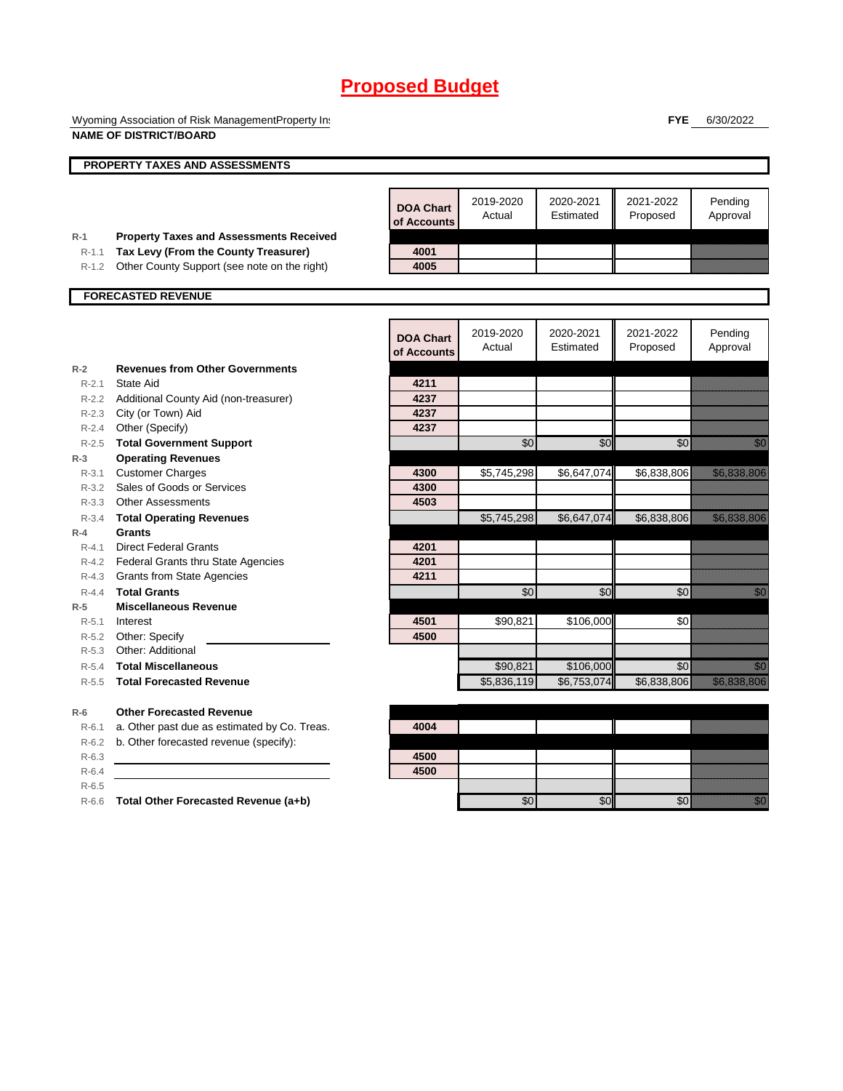Wyoming Association of Risk ManagementProperty Ins **NAME OF DISTRICT/BOARD**

**FYE** 6/30/2022

|           | PROPERTY TAXES AND ASSESSMENTS                 |                                 |                     |                        |                       |                                                                                                                                                                                                                                  |
|-----------|------------------------------------------------|---------------------------------|---------------------|------------------------|-----------------------|----------------------------------------------------------------------------------------------------------------------------------------------------------------------------------------------------------------------------------|
|           |                                                |                                 |                     |                        |                       |                                                                                                                                                                                                                                  |
|           |                                                | <b>DOA Chart</b><br>of Accounts | 2019-2020<br>Actual | 2020-2021<br>Estimated | 2021-2022<br>Proposed | Pending<br>Approval                                                                                                                                                                                                              |
| $R-1$     | <b>Property Taxes and Assessments Received</b> |                                 |                     |                        |                       |                                                                                                                                                                                                                                  |
| $R-1.1$   | Tax Levy (From the County Treasurer)           | 4001                            |                     |                        |                       |                                                                                                                                                                                                                                  |
| $R-1.2$   | Other County Support (see note on the right)   | 4005                            |                     |                        |                       |                                                                                                                                                                                                                                  |
|           | <b>FORECASTED REVENUE</b>                      |                                 |                     |                        |                       |                                                                                                                                                                                                                                  |
|           |                                                |                                 |                     |                        |                       |                                                                                                                                                                                                                                  |
|           |                                                | <b>DOA Chart</b><br>of Accounts | 2019-2020<br>Actual | 2020-2021<br>Estimated | 2021-2022<br>Proposed | Pending<br>Approval                                                                                                                                                                                                              |
| $R-2$     | <b>Revenues from Other Governments</b>         |                                 |                     |                        |                       |                                                                                                                                                                                                                                  |
| $R - 2.1$ | State Aid                                      | 4211                            |                     |                        |                       |                                                                                                                                                                                                                                  |
|           | R-2.2 Additional County Aid (non-treasurer)    | 4237                            |                     |                        |                       |                                                                                                                                                                                                                                  |
|           | R-2.3 City (or Town) Aid                       | 4237                            |                     |                        |                       |                                                                                                                                                                                                                                  |
| $R - 2.4$ | Other (Specify)                                | 4237                            |                     |                        |                       |                                                                                                                                                                                                                                  |
| $R-2.5$   | <b>Total Government Support</b>                |                                 | \$0                 | \$0                    | \$0                   | , and                                                                                                                                                                                                                            |
| $R-3$     | <b>Operating Revenues</b>                      |                                 |                     |                        |                       |                                                                                                                                                                                                                                  |
| $R - 3.1$ | <b>Customer Charges</b>                        | 4300                            | \$5,745,298         | \$6,647,074            | \$6,838,806           | <u> Kalèndhera Ka</u>                                                                                                                                                                                                            |
| R-3.2     | Sales of Goods or Services                     | 4300                            |                     |                        |                       |                                                                                                                                                                                                                                  |
|           | R-3.3 Other Assessments                        | 4503                            |                     |                        |                       |                                                                                                                                                                                                                                  |
| $R - 3.4$ | <b>Total Operating Revenues</b>                |                                 | \$5,745,298         | \$6,647,074            | \$6,838,806           | <u> Karl Sara</u>                                                                                                                                                                                                                |
| $R-4$     | Grants                                         |                                 |                     |                        |                       |                                                                                                                                                                                                                                  |
| $R - 4.1$ | <b>Direct Federal Grants</b>                   | 4201                            |                     |                        |                       |                                                                                                                                                                                                                                  |
|           | R-4.2 Federal Grants thru State Agencies       | 4201                            |                     |                        |                       |                                                                                                                                                                                                                                  |
|           | R-4.3 Grants from State Agencies               | 4211                            |                     |                        |                       |                                                                                                                                                                                                                                  |
| $R - 4.4$ | <b>Total Grants</b>                            |                                 | \$0                 | \$0                    | $\sqrt{6}$            | en de la familie de la familie de la familie de la familie de la familie de la familie de la familie de la fam<br>De la familie de la familie de la familie de la familie de la familie de la familie de la familie de la famili |
| $R-5$     | <b>Miscellaneous Revenue</b>                   |                                 |                     |                        |                       |                                                                                                                                                                                                                                  |
| $R - 5.1$ | Interest                                       | 4501                            | \$90,821            | \$106,000              | \$0                   |                                                                                                                                                                                                                                  |
|           | R-5.2 Other: Specify                           | 4500                            |                     |                        |                       |                                                                                                                                                                                                                                  |
| $R - 5.3$ | Other: Additional                              |                                 |                     |                        |                       |                                                                                                                                                                                                                                  |
| $R - 5.4$ | <b>Total Miscellaneous</b>                     |                                 | \$90,821            | \$106,000              | \$0                   | <u>i Mi</u>                                                                                                                                                                                                                      |
| $R - 5.5$ | <b>Total Forecasted Revenue</b>                |                                 | \$5,836,119         | \$6,753,074            | \$6,838,806           | <u> Karlin Maria San Barat (</u>                                                                                                                                                                                                 |
| $R-6$     | <b>Other Forecasted Revenue</b>                |                                 |                     |                        |                       |                                                                                                                                                                                                                                  |
| $R-6.1$   | a. Other past due as estimated by Co. Treas.   | 4004                            |                     |                        |                       |                                                                                                                                                                                                                                  |
| $R-6.2$   | b. Other forecasted revenue (specify):         |                                 |                     |                        |                       |                                                                                                                                                                                                                                  |
| $R-6.3$   |                                                | 4500                            |                     |                        |                       |                                                                                                                                                                                                                                  |
| $R-6.4$   |                                                | 4500                            |                     |                        |                       |                                                                                                                                                                                                                                  |
| $R-6.5$   |                                                |                                 |                     |                        |                       |                                                                                                                                                                                                                                  |
| $R-6.6$   | Total Other Forecasted Revenue (a+b)           |                                 | \$0                 | \$0                    | \$0                   | <u>tik a</u>                                                                                                                                                                                                                     |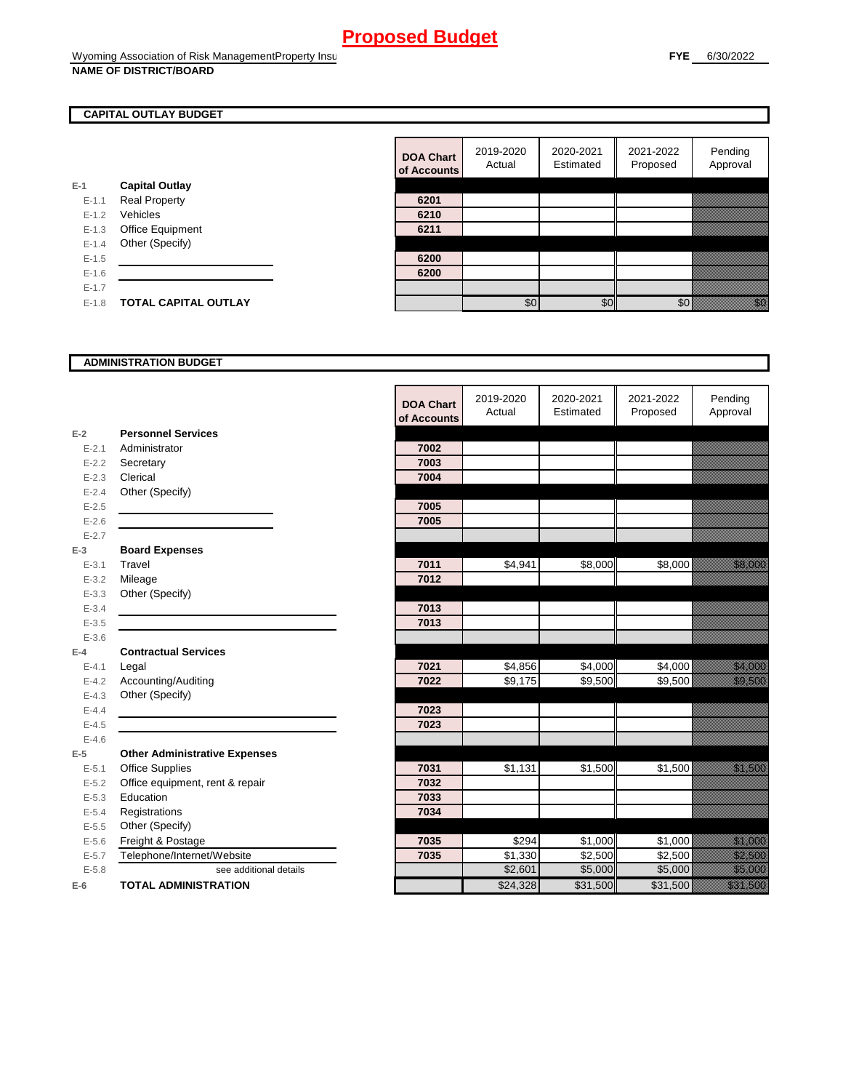#### **CAPITAL OUTLAY BUDGET**

|           |                             | ui Auuu |
|-----------|-----------------------------|---------|
| $E-1$     | <b>Capital Outlay</b>       |         |
| $E - 1.1$ | <b>Real Property</b>        | 6201    |
| $E-1.2$   | Vehicles                    | 6210    |
| $E-1.3$   | <b>Office Equipment</b>     | 6211    |
| $E - 1.4$ | Other (Specify)             |         |
| $E - 1.5$ |                             | 6200    |
| $E - 1.6$ |                             | 6200    |
| $E - 1.7$ |                             |         |
| $E - 1.8$ | <b>TOTAL CAPITAL OUTLAY</b> |         |
|           |                             |         |

| <b>DOA Chart</b><br>of Accounts | 2019-2020<br>Actual | 2020-2021<br>Estimated | 2021-2022<br>Proposed | Pending<br>Approval |
|---------------------------------|---------------------|------------------------|-----------------------|---------------------|
|                                 |                     |                        |                       |                     |
| 6201                            |                     |                        |                       |                     |
| 6210                            |                     |                        |                       |                     |
| 6211                            |                     |                        |                       |                     |
|                                 |                     |                        |                       |                     |
| 6200                            |                     |                        |                       |                     |
| 6200                            |                     |                        |                       |                     |
|                                 |                     |                        |                       |                     |
|                                 | \$0                 |                        |                       |                     |

#### **ADMINISTRATION BUDGET**

|           |                                      | <b>DOA Chart</b><br>of Accounts | 2019-2020<br>Actual | 2020-2021<br>Estimated | 2021-2022<br>Proposed | Pending<br>Approval                                                                                                  |
|-----------|--------------------------------------|---------------------------------|---------------------|------------------------|-----------------------|----------------------------------------------------------------------------------------------------------------------|
| $E-2$     | <b>Personnel Services</b>            |                                 |                     |                        |                       |                                                                                                                      |
| $E - 2.1$ | Administrator                        | 7002                            |                     |                        |                       |                                                                                                                      |
| $E - 2.2$ | Secretary                            | 7003                            |                     |                        |                       |                                                                                                                      |
| $E - 2.3$ | Clerical                             | 7004                            |                     |                        |                       |                                                                                                                      |
| $E - 2.4$ | Other (Specify)                      |                                 |                     |                        |                       |                                                                                                                      |
| $E-2.5$   |                                      | 7005                            |                     |                        |                       |                                                                                                                      |
| $E-2.6$   |                                      | 7005                            |                     |                        |                       |                                                                                                                      |
| $E - 2.7$ |                                      |                                 |                     |                        |                       |                                                                                                                      |
| $E-3$     | <b>Board Expenses</b>                |                                 |                     |                        |                       |                                                                                                                      |
| $E - 3.1$ | Travel                               | 7011                            | \$4,941             | \$8,000                | \$8,000               | <u>tik ka</u>                                                                                                        |
| $E - 3.2$ | Mileage                              | 7012                            |                     |                        |                       |                                                                                                                      |
| $E - 3.3$ | Other (Specify)                      |                                 |                     |                        |                       |                                                                                                                      |
| $E - 3.4$ |                                      | 7013                            |                     |                        |                       |                                                                                                                      |
| $E-3.5$   |                                      | 7013                            |                     |                        |                       |                                                                                                                      |
| $E - 3.6$ |                                      |                                 |                     |                        |                       |                                                                                                                      |
| $E-4$     | <b>Contractual Services</b>          |                                 |                     |                        |                       |                                                                                                                      |
| $E - 4.1$ | Legal                                | 7021                            | \$4,856             | \$4,000                | \$4,000               | <u> Kalendari Septembang Kabupatèn Bandhir</u>                                                                       |
| $E - 4.2$ | Accounting/Auditing                  | 7022                            | \$9,175             | $\overline{$}9,500$    | \$9,500               | <u>tik alaman dalam ka</u>                                                                                           |
| $E - 4.3$ | Other (Specify)                      |                                 |                     |                        |                       |                                                                                                                      |
| $E-4.4$   |                                      | 7023                            |                     |                        |                       |                                                                                                                      |
| $E-4.5$   |                                      | 7023                            |                     |                        |                       |                                                                                                                      |
| $E - 4.6$ |                                      |                                 |                     |                        |                       |                                                                                                                      |
| $E-5$     | <b>Other Administrative Expenses</b> |                                 |                     |                        |                       |                                                                                                                      |
| $E - 5.1$ | <b>Office Supplies</b>               | 7031                            | \$1,131             | \$1,500                | \$1,500               | <u>tika kuningan di kacamatan di kacamatan di kacamatan di kacamatan di kacamatan di kacamatan di kacamatan di k</u> |
| $E - 5.2$ | Office equipment, rent & repair      | 7032                            |                     |                        |                       |                                                                                                                      |
| $E - 5.3$ | Education                            | 7033                            |                     |                        |                       |                                                                                                                      |
| $E - 5.4$ | Registrations                        | 7034                            |                     |                        |                       |                                                                                                                      |
| $E - 5.5$ | Other (Specify)                      |                                 |                     |                        |                       |                                                                                                                      |
| $E - 5.6$ | Freight & Postage                    | 7035                            | \$294               | \$1,000                | \$1,000               | <u> Hillian Sa</u>                                                                                                   |
| $E - 5.7$ | Telephone/Internet/Website           | 7035                            | \$1,330             | \$2,500                | \$2,500               | <u>ti ka</u>                                                                                                         |
| $E - 5.8$ | see additional details               |                                 | \$2,601             | \$5,000                | \$5,000               | <u>ti ka</u>                                                                                                         |
| $E-6$     | <b>TOTAL ADMINISTRATION</b>          |                                 | \$24,328            | \$31,500               | \$31,500              | <u> Karl III (</u>                                                                                                   |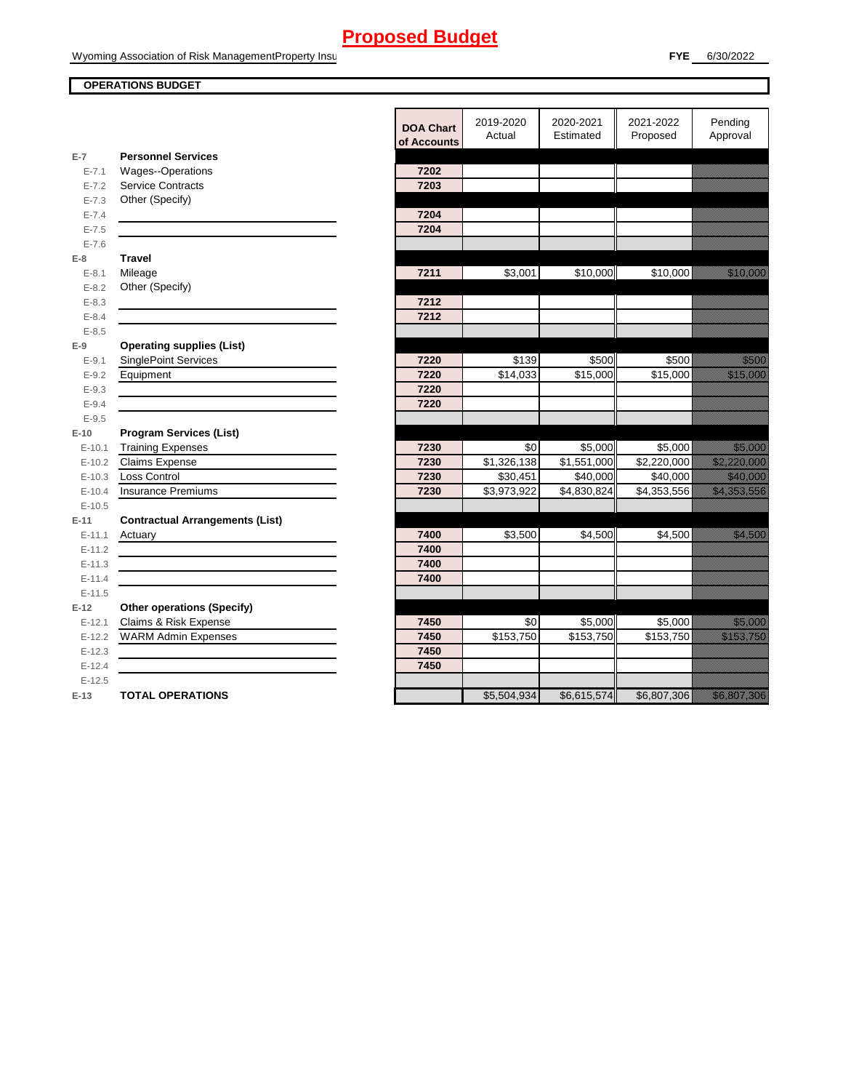#### **OPERATIONS BUDGET**

|           |                                        | <b>DOA Chart</b> | 2019-2020     | 2020-2021   | 2021-2022   | Pending                         |
|-----------|----------------------------------------|------------------|---------------|-------------|-------------|---------------------------------|
|           |                                        | of Accounts      | Actual        | Estimated   | Proposed    | Approval                        |
| $E-7$     | <b>Personnel Services</b>              |                  |               |             |             |                                 |
| $E - 7.1$ | Wages--Operations                      | 7202             |               |             |             |                                 |
| $E - 7.2$ | <b>Service Contracts</b>               | 7203             |               |             |             |                                 |
| $E - 7.3$ | Other (Specify)                        |                  |               |             |             |                                 |
| $E - 7.4$ |                                        | 7204             |               |             |             |                                 |
| $E - 7.5$ |                                        | 7204             |               |             |             |                                 |
| $E - 7.6$ |                                        |                  |               |             |             |                                 |
| $E-8$     | <b>Travel</b>                          |                  |               |             |             |                                 |
| $E - 8.1$ | Mileage                                | 7211             | \$3,001       | \$10,000    | \$10,000    | a a an an t-Òirean              |
| $E - 8.2$ | Other (Specify)                        |                  |               |             |             |                                 |
| $E - 8.3$ |                                        | 7212             |               |             |             |                                 |
| $E - 8.4$ |                                        | 7212             |               |             |             |                                 |
| $E - 8.5$ |                                        |                  |               |             |             |                                 |
| $E-9$     | <b>Operating supplies (List)</b>       |                  |               |             |             |                                 |
| $E-9.1$   | <b>SinglePoint Services</b>            | 7220             | \$139         | \$500       | \$500       | a a chunach<br>Bliadain         |
| $E - 9.2$ | Equipment                              | 7220             | \$14,033      | \$15,000    | \$15,000    | <u> Karlin Maria Sant</u>       |
| $E - 9.3$ |                                        | 7220             |               |             |             |                                 |
| $E - 9.4$ |                                        | 7220             |               |             |             |                                 |
| $E - 9.5$ |                                        |                  |               |             |             |                                 |
| $E-10$    | <b>Program Services (List)</b>         |                  |               |             |             |                                 |
| $E-10.1$  | <b>Training Expenses</b>               | 7230             | \$0           | \$5,000     | \$5,000     | <u>ting ang pag</u>             |
| $E-10.2$  | <b>Claims Expense</b>                  | 7230             | \$1,326,138   | \$1,551,000 | \$2,220,000 | <u> Hilling Sta</u>             |
| $E-10.3$  | Loss Control                           | 7230             | \$30,451      | \$40,000    | \$40,000    | <u>till framförfattar och f</u> |
| $E-10.4$  | Insurance Premiums                     | 7230             | \$3,973,922   | \$4,830,824 | \$4,353,556 | <u>e de la componenta</u>       |
| $E-10.5$  |                                        |                  |               |             |             |                                 |
| $E-11$    | <b>Contractual Arrangements (List)</b> |                  |               |             |             |                                 |
| $E-11.1$  | Actuary                                | 7400             | \$3,500       | \$4,500     | \$4.500     | <u>till framförfattar e</u>     |
| $E-11.2$  |                                        | 7400             |               |             |             |                                 |
| $E-11.3$  |                                        | 7400             |               |             |             |                                 |
| $E-11.4$  |                                        | 7400             |               |             |             |                                 |
| $E-11.5$  |                                        |                  |               |             |             |                                 |
| $E-12$    | <b>Other operations (Specify)</b>      |                  |               |             |             |                                 |
| $E-12.1$  | Claims & Risk Expense                  | 7450             | $\frac{6}{3}$ | \$5,000     | \$5,000     | <u> Harrison</u>                |
| $E-12.2$  | <b>WARM Admin Expenses</b>             | 7450             | \$153,750     | \$153,750   | \$153,750   |                                 |
| $E-12.3$  |                                        | 7450             |               |             |             |                                 |
| $E-12.4$  |                                        | 7450             |               |             |             |                                 |
| $E-12.5$  |                                        |                  |               |             |             |                                 |
| $E-13$    | <b>TOTAL OPERATIONS</b>                |                  | \$5,504,934   | \$6,615,574 | \$6,807,306 |                                 |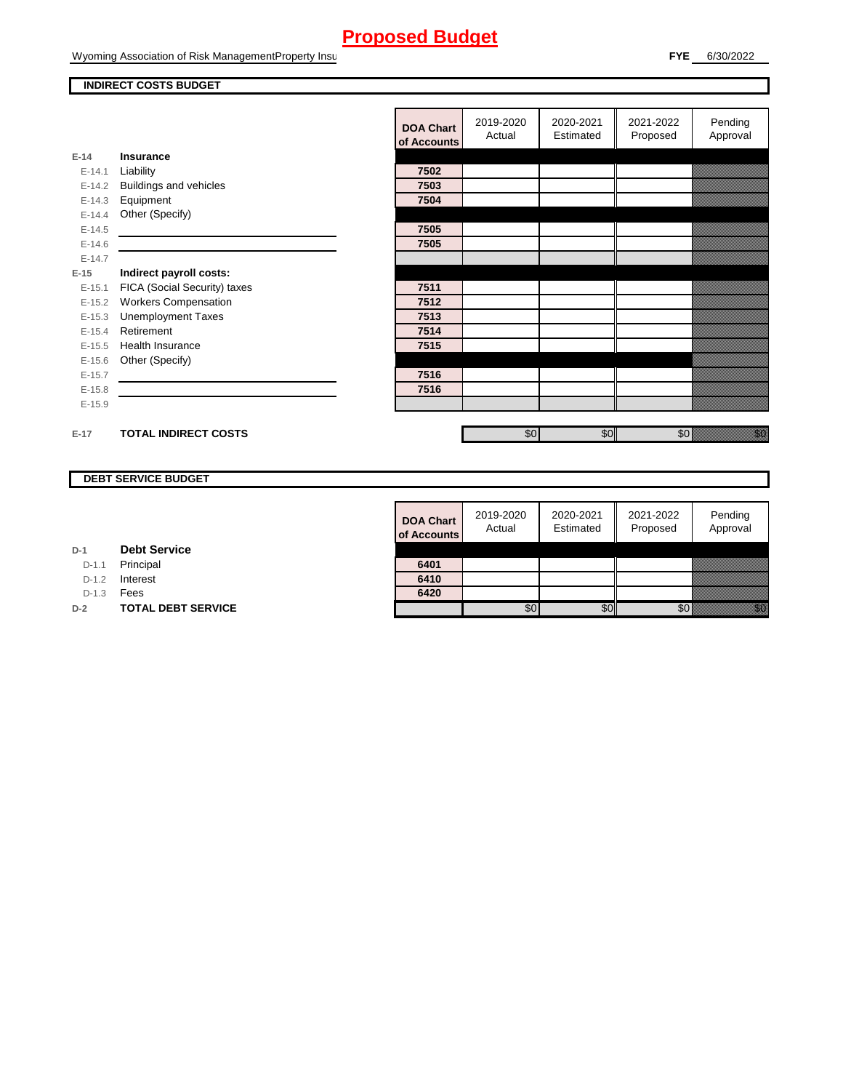Wyoming Association of Risk ManagementProperty Insurance

#### **INDIRECT COSTS BUDGET**

|          |                              | <b>DOA Chart</b><br>of Accounts | 2019-2020<br>Actual | 2020-2021<br>Estimated | 2021-2022<br>Proposed | Pending<br>Approval                                                                                                                                                                                                              |
|----------|------------------------------|---------------------------------|---------------------|------------------------|-----------------------|----------------------------------------------------------------------------------------------------------------------------------------------------------------------------------------------------------------------------------|
| $E-14$   | <b>Insurance</b>             |                                 |                     |                        |                       |                                                                                                                                                                                                                                  |
| $E-14.1$ | Liability                    | 7502                            |                     |                        |                       |                                                                                                                                                                                                                                  |
| $E-14.2$ | Buildings and vehicles       | 7503                            |                     |                        |                       |                                                                                                                                                                                                                                  |
| $E-14.3$ | Equipment                    | 7504                            |                     |                        |                       |                                                                                                                                                                                                                                  |
| $E-14.4$ | Other (Specify)              |                                 |                     |                        |                       |                                                                                                                                                                                                                                  |
| $E-14.5$ |                              | 7505                            |                     |                        |                       |                                                                                                                                                                                                                                  |
| $E-14.6$ |                              | 7505                            |                     |                        |                       |                                                                                                                                                                                                                                  |
| $E-14.7$ |                              |                                 |                     |                        |                       |                                                                                                                                                                                                                                  |
| $E-15$   | Indirect payroll costs:      |                                 |                     |                        |                       |                                                                                                                                                                                                                                  |
| $E-15.1$ | FICA (Social Security) taxes | 7511                            |                     |                        |                       |                                                                                                                                                                                                                                  |
| $E-15.2$ | <b>Workers Compensation</b>  | 7512                            |                     |                        |                       |                                                                                                                                                                                                                                  |
| $E-15.3$ | <b>Unemployment Taxes</b>    | 7513                            |                     |                        |                       |                                                                                                                                                                                                                                  |
| $E-15.4$ | Retirement                   | 7514                            |                     |                        |                       |                                                                                                                                                                                                                                  |
| $E-15.5$ | Health Insurance             | 7515                            |                     |                        |                       |                                                                                                                                                                                                                                  |
| $E-15.6$ | Other (Specify)              |                                 |                     |                        |                       |                                                                                                                                                                                                                                  |
| $E-15.7$ |                              | 7516                            |                     |                        |                       |                                                                                                                                                                                                                                  |
| $E-15.8$ |                              | 7516                            |                     |                        |                       |                                                                                                                                                                                                                                  |
| $E-15.9$ |                              |                                 |                     |                        |                       |                                                                                                                                                                                                                                  |
|          |                              |                                 |                     |                        |                       |                                                                                                                                                                                                                                  |
| $E-17$   | <b>TOTAL INDIRECT COSTS</b>  |                                 | \$0                 | \$0                    | \$0                   | en de la familie de la familie de la familie de la familie de la familie de la familie de la familie de la fam<br>De la familie de la familie de la familie de la familie de la familie de la familie de la familie de la famili |

#### **DEBT SERVICE BUDGET**

| <b>DOA Chart</b><br>of Accounts | 2019-2020<br>Actual | 2020-2021<br>Estimated | 2021-2022<br>Proposed | Pending<br>Approval |
|---------------------------------|---------------------|------------------------|-----------------------|---------------------|
|                                 |                     |                        |                       |                     |
| 6401<br>6410                    |                     |                        |                       |                     |
| 6420                            |                     |                        |                       |                     |
|                                 |                     |                        |                       |                     |

**D-1 Debt Service**

D-1.1 Principal

D-1.2 **Interest** 

D-1.3 **Fees** 

**D-2 TOTAL DEBT SERVICE**